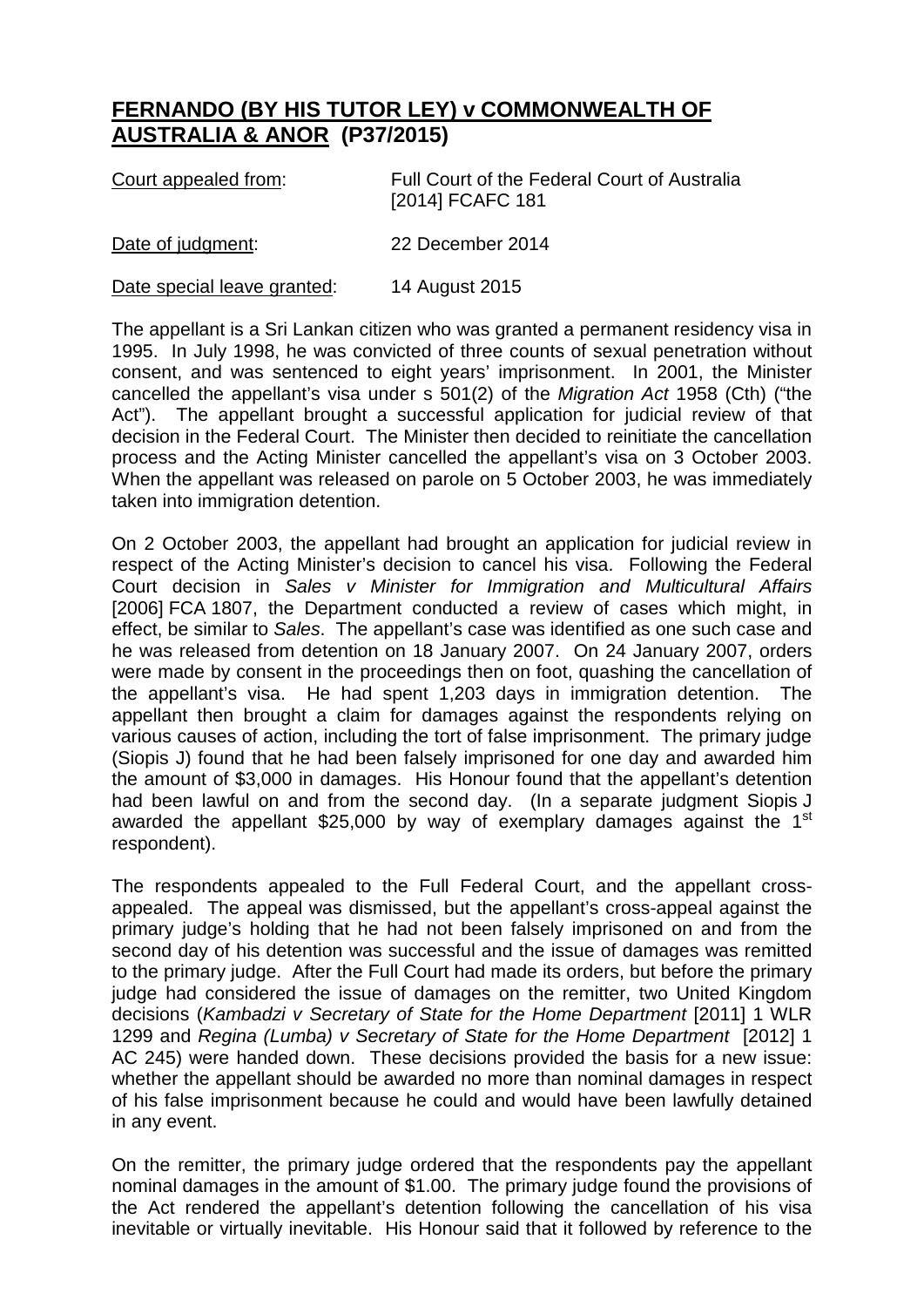## **FERNANDO (BY HIS TUTOR LEY) v COMMONWEALTH OF AUSTRALIA & ANOR (P37/2015)**

| Court appealed from:        | Full Court of the Federal Court of Australia<br>[2014] FCAFC 181 |
|-----------------------------|------------------------------------------------------------------|
| Date of judgment:           | 22 December 2014                                                 |
| Date special leave granted: | 14 August 2015                                                   |

The appellant is a Sri Lankan citizen who was granted a permanent residency visa in 1995. In July 1998, he was convicted of three counts of sexual penetration without consent, and was sentenced to eight years' imprisonment. In 2001, the Minister cancelled the appellant's visa under s 501(2) of the *Migration Act* 1958 (Cth) ("the Act"). The appellant brought a successful application for judicial review of that decision in the Federal Court. The Minister then decided to reinitiate the cancellation process and the Acting Minister cancelled the appellant's visa on 3 October 2003. When the appellant was released on parole on 5 October 2003, he was immediately taken into immigration detention.

On 2 October 2003, the appellant had brought an application for judicial review in respect of the Acting Minister's decision to cancel his visa. Following the Federal Court decision in *Sales v Minister for Immigration and Multicultural Affairs*  [2006] FCA 1807, the Department conducted a review of cases which might, in effect, be similar to *Sales*. The appellant's case was identified as one such case and he was released from detention on 18 January 2007. On 24 January 2007, orders were made by consent in the proceedings then on foot, quashing the cancellation of the appellant's visa. He had spent 1,203 days in immigration detention. The appellant then brought a claim for damages against the respondents relying on various causes of action, including the tort of false imprisonment. The primary judge (Siopis J) found that he had been falsely imprisoned for one day and awarded him the amount of \$3,000 in damages. His Honour found that the appellant's detention had been lawful on and from the second day. (In a separate judgment Siopis J awarded the appellant \$25,000 by way of exemplary damages against the  $1<sup>st</sup>$ respondent).

The respondents appealed to the Full Federal Court, and the appellant crossappealed. The appeal was dismissed, but the appellant's cross-appeal against the primary judge's holding that he had not been falsely imprisoned on and from the second day of his detention was successful and the issue of damages was remitted to the primary judge. After the Full Court had made its orders, but before the primary judge had considered the issue of damages on the remitter, two United Kingdom decisions (*Kambadzi v Secretary of State for the Home Department* [2011] 1 WLR 1299 and *Regina (Lumba) v Secretary of State for the Home Department* [2012] 1 AC 245) were handed down. These decisions provided the basis for a new issue: whether the appellant should be awarded no more than nominal damages in respect of his false imprisonment because he could and would have been lawfully detained in any event.

On the remitter, the primary judge ordered that the respondents pay the appellant nominal damages in the amount of \$1.00. The primary judge found the provisions of the Act rendered the appellant's detention following the cancellation of his visa inevitable or virtually inevitable. His Honour said that it followed by reference to the